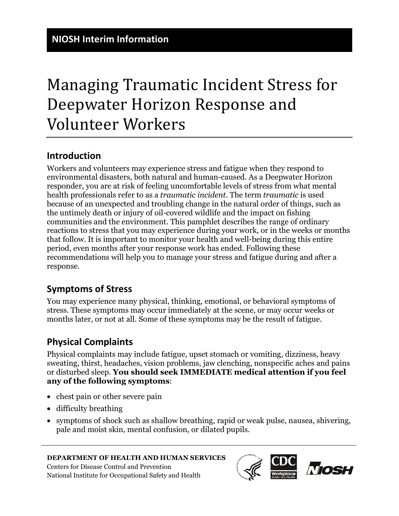# Managing Traumatic Incident Stress for Deepwater Horizon Response and Volunteer Workers

## **Introduction**

Workers and volunteers may experience stress and fatigue when they respond to environmental disasters, both natural and human-caused. As a Deepwater Horizon responder, you are at risk of feeling uncomfortable levels of stress from what mental health professionals refer to as a *traumatic incident*. The term *traumatic* is used because of an unexpected and troubling change in the natural order of things, such as the untimely death or injury of oil-covered wildlife and the impact on fishing communities and the environment. This pamphlet describes the range of ordinary reactions to stress that you may experience during your work, or in the weeks or months that follow. It is important to monitor your health and well-being during this entire period, even months after your response work has ended. Following these recommendations will help you to manage your stress and fatigue during and after a response.

## **Symptoms of Stress**

You may experience many physical, thinking, emotional, or behavioral symptoms of stress. These symptoms may occur immediately at the scene, or may occur weeks or months later, or not at all. Some of these symptoms may be the result of fatigue.

## **Physical Complaints**

Physical complaints may include fatigue, upset stomach or vomiting, dizziness, heavy sweating, thirst, headaches, vision problems, jaw clenching, nonspecific aches and pains or disturbed sleep. **You should seek IMMEDIATE medical attention if you feel any of the following symptoms**:

- chest pain or other severe pain
- difficulty breathing
- symptoms of shock such as shallow breathing, rapid or weak pulse, nausea, shivering, pale and moist skin, mental confusion, or dilated pupils.

#### **DEPARTMENT OF HEALTH AND HUMAN SERVICES**

Centers for Disease Control and Prevention National Institute for Occupational Safety and Health

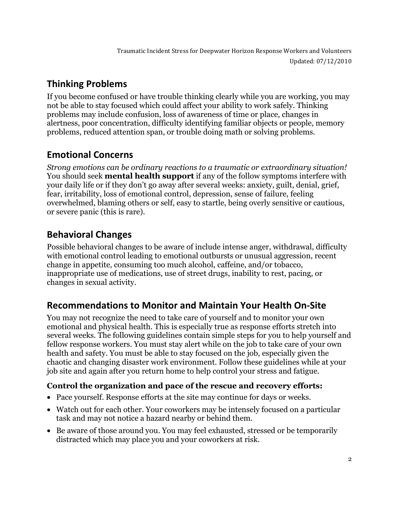Traumatic Incident Stress for Deepwater Horizon Response Workers and Volunteers Updated: 07/12/2010

# **Thinking Problems**

If you become confused or have trouble thinking clearly while you are working, you may not be able to stay focused which could affect your ability to work safely. Thinking problems may include confusion, loss of awareness of time or place, changes in alertness, poor concentration, difficulty identifying familiar objects or people, memory problems, reduced attention span, or trouble doing math or solving problems.

# **Emotional Concerns**

*Strong emotions can be ordinary reactions to a traumatic or extraordinary situation!*  You should seek **mental health support** if any of the follow symptoms interfere with your daily life or if they don't go away after several weeks: anxiety, guilt, denial, grief, fear, irritability, loss of emotional control, depression, sense of failure, feeling overwhelmed, blaming others or self, easy to startle, being overly sensitive or cautious, or severe panic (this is rare).

# **Behavioral Changes**

Possible behavioral changes to be aware of include intense anger, withdrawal, difficulty with emotional control leading to emotional outbursts or unusual aggression, recent change in appetite, consuming too much alcohol, caffeine, and/or tobacco, inappropriate use of medications, use of street drugs, inability to rest, pacing, or changes in sexual activity.

# **Recommendations to Monitor and Maintain Your Health On-Site**

You may not recognize the need to take care of yourself and to monitor your own emotional and physical health. This is especially true as response efforts stretch into several weeks. The following guidelines contain simple steps for you to help yourself and fellow response workers. You must stay alert while on the job to take care of your own health and safety. You must be able to stay focused on the job, especially given the chaotic and changing disaster work environment. Follow these guidelines while at your job site and again after you return home to help control your stress and fatigue.

## **Control the organization and pace of the rescue and recovery efforts:**

- Pace yourself. Response efforts at the site may continue for days or weeks.
- Watch out for each other. Your coworkers may be intensely focused on a particular task and may not notice a hazard nearby or behind them.
- Be aware of those around you. You may feel exhausted, stressed or be temporarily distracted which may place you and your coworkers at risk.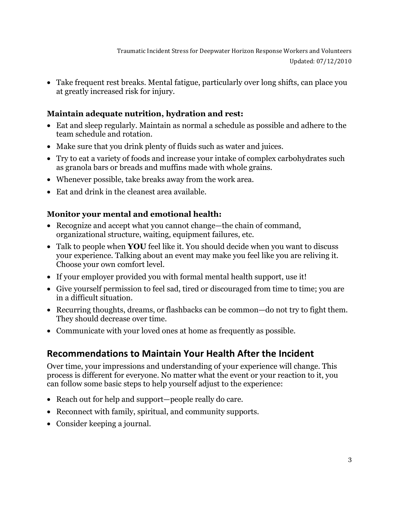• Take frequent rest breaks. Mental fatigue, particularly over long shifts, can place you at greatly increased risk for injury.

## **Maintain adequate nutrition, hydration and rest:**

- Eat and sleep regularly. Maintain as normal a schedule as possible and adhere to the team schedule and rotation.
- Make sure that you drink plenty of fluids such as water and juices.
- Try to eat a variety of foods and increase your intake of complex carbohydrates such as granola bars or breads and muffins made with whole grains.
- Whenever possible, take breaks away from the work area.
- Eat and drink in the cleanest area available.

## **Monitor your mental and emotional health:**

- Recognize and accept what you cannot change—the chain of command, organizational structure, waiting, equipment failures, etc.
- Talk to people when **YOU** feel like it. You should decide when you want to discuss your experience. Talking about an event may make you feel like you are reliving it. Choose your own comfort level.
- If your employer provided you with formal mental health support, use it!
- Give yourself permission to feel sad, tired or discouraged from time to time; you are in a difficult situation.
- Recurring thoughts, dreams, or flashbacks can be common—do not try to fight them. They should decrease over time.
- Communicate with your loved ones at home as frequently as possible.

## **Recommendations to Maintain Your Health After the Incident**

Over time, your impressions and understanding of your experience will change. This process is different for everyone. No matter what the event or your reaction to it, you can follow some basic steps to help yourself adjust to the experience:

- Reach out for help and support—people really do care.
- Reconnect with family, spiritual, and community supports.
- Consider keeping a journal.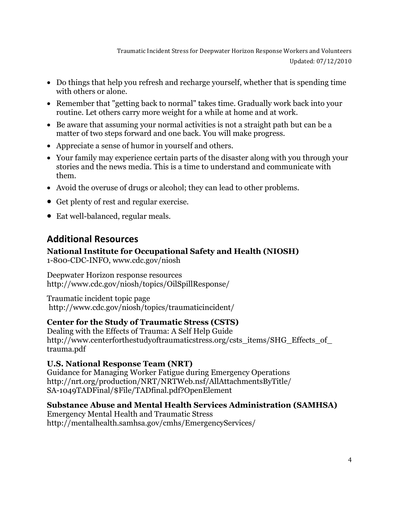Traumatic Incident Stress for Deepwater Horizon Response Workers and Volunteers Updated: 07/12/2010

- Do things that help you refresh and recharge yourself, whether that is spending time with others or alone.
- Remember that "getting back to normal" takes time. Gradually work back into your routine. Let others carry more weight for a while at home and at work.
- Be aware that assuming your normal activities is not a straight path but can be a matter of two steps forward and one back. You will make progress.
- Appreciate a sense of humor in yourself and others.
- Your family may experience certain parts of the disaster along with you through your stories and the news media. This is a time to understand and communicate with them.
- Avoid the overuse of drugs or alcohol; they can lead to other problems.
- Get plenty of rest and regular exercise.
- Eat well-balanced, regular meals.

## **Additional Resources**

## **National Institute for Occupational Safety and Health (NIOSH)**

1-800-CDC-INFO, [www.cdc.gov/niosh](http://www.cdc.gov/niosh/)

Deepwater Horizon response resources <http://www.cdc.gov/niosh/topics/OilSpillResponse/>

Traumatic incident topic page <http://www.cdc.gov/niosh/topics/traumaticincident/>

## **Center for the Study of Traumatic Stress (CSTS)**

Dealing with the Effects of Trauma: A Self Help Guide http://www.centerforthestudyoftraumaticstress.org/csts\_items/SHG\_Effects\_of [trauma.pdf](http://www.centerforthestudyoftraumaticstress.org/csts_items/SHG_Effects_of_trauma.pdf )

## **U.S. National Response Team (NRT)**

Guidance for Managing Worker Fatigue during Emergency Operations [http://nrt.org/production/NRT/NRTWeb.nsf/AllAttachmentsByTitle/](http://nrt.org/production/NRT/NRTWeb.nsf/AllAttachmentsByTitle/SA-1049TADFinal/$File/TADfinal.pdf?OpenElement) [SA-1049TADFinal/\\$File/TADfinal.pdf?OpenElement](http://nrt.org/production/NRT/NRTWeb.nsf/AllAttachmentsByTitle/SA-1049TADFinal/$File/TADfinal.pdf?OpenElement)

## **Substance Abuse and Mental Health Services Administration (SAMHSA)**

Emergency Mental Health and Traumatic Stress <http://mentalhealth.samhsa.gov/cmhs/EmergencyServices/>